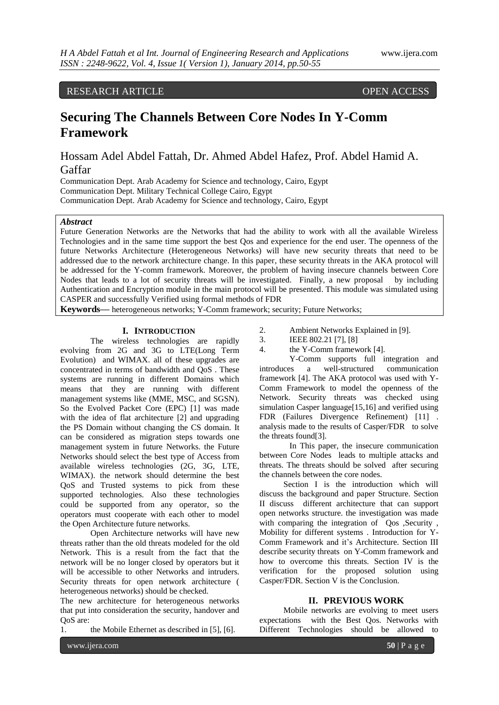## RESEARCH ARTICLE OPEN ACCESS

# **Securing The Channels Between Core Nodes In Y-Comm Framework**

Hossam Adel Abdel Fattah, Dr. Ahmed Abdel Hafez, Prof. Abdel Hamid A. Gaffar

Communication Dept. Arab Academy for Science and technology, Cairo, Egypt Communication Dept. Military Technical College Cairo, Egypt Communication Dept. Arab Academy for Science and technology, Cairo, Egypt

## *Abstract*

Future Generation Networks are the Networks that had the ability to work with all the available Wireless Technologies and in the same time support the best Qos and experience for the end user. The openness of the future Networks Architecture (Heterogeneous Networks) will have new security threats that need to be addressed due to the network architecture change. In this paper, these security threats in the AKA protocol will be addressed for the Y-comm framework. Moreover, the problem of having insecure channels between Core Nodes that leads to a lot of security threats will be investigated. Finally, a new proposal by including Authentication and Encryption module in the main protocol will be presented. This module was simulated using CASPER and successfully Verified using formal methods of FDR

**Keywords—** heterogeneous networks; Y-Comm framework; security; Future Networks;

### **I. INTRODUCTION**

The wireless technologies are rapidly evolving from 2G and 3G to LTE(Long Term Evolution) and WIMAX. all of these upgrades are concentrated in terms of bandwidth and QoS . These systems are running in different Domains which means that they are running with different management systems like (MME, MSC, and SGSN). So the Evolved Packet Core (EPC) [1] was made with the idea of flat architecture [2] and upgrading the PS Domain without changing the CS domain. It can be considered as migration steps towards one management system in future Networks. the Future Networks should select the best type of Access from available wireless technologies (2G, 3G, LTE, WIMAX). the network should determine the best QoS and Trusted systems to pick from these supported technologies. Also these technologies could be supported from any operator, so the operators must cooperate with each other to model the Open Architecture future networks.

Open Architecture networks will have new threats rather than the old threats modeled for the old Network. This is a result from the fact that the network will be no longer closed by operators but it will be accessible to other Networks and intruders. Security threats for open network architecture ( heterogeneous networks) should be checked.

The new architecture for heterogeneous networks that put into consideration the security, handover and QoS are:

1. the Mobile Ethernet as described in [5], [6].

- 2. Ambient Networks Explained in [9].
- 3. IEEE 802.21 [7], [8]
- 4. the Y-Comm framework [4].

Y-Comm supports full integration and introduces a well-structured communication framework [4]. The AKA protocol was used with Y-Comm Framework to model the openness of the Network. Security threats was checked using simulation Casper language[15,16] and verified using FDR (Failures Divergence Refinement) [11] . analysis made to the results of Casper/FDR to solve the threats found[3].

In This paper, the insecure communication between Core Nodes leads to multiple attacks and threats. The threats should be solved after securing the channels between the core nodes.

Section I is the introduction which will discuss the background and paper Structure. Section II discuss different architecture that can support open networks structure. the investigation was made with comparing the integration of Qos , Security , Mobility for different systems . Introduction for Y-Comm Framework and it's Architecture. Section III describe security threats on Y-Comm framework and how to overcome this threats. Section IV is the verification for the proposed solution using Casper/FDR. Section V is the Conclusion.

## **II. PREVIOUS WORK**

Mobile networks are evolving to meet users expectations with the Best Qos. Networks with Different Technologies should be allowed to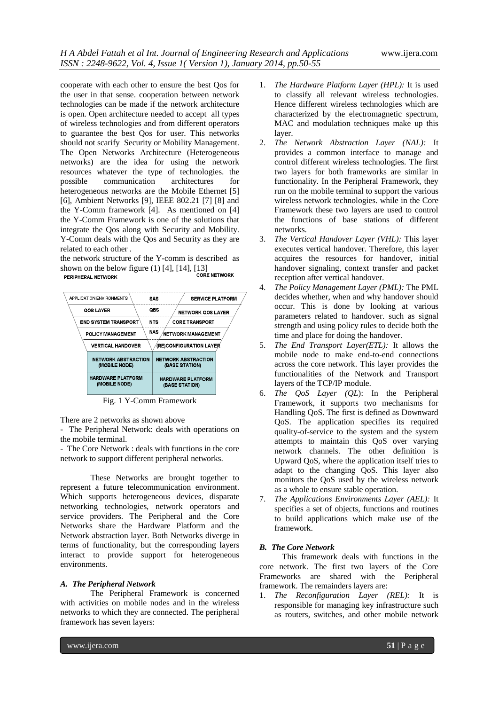cooperate with each other to ensure the best Qos for the user in that sense. cooperation between network technologies can be made if the network architecture is open. Open architecture needed to accept all types of wireless technologies and from different operators to guarantee the best Qos for user. This networks should not scarify Security or Mobility Management. The Open Networks Architecture (Heterogeneous networks) are the idea for using the network resources whatever the type of technologies. the possible communication architectures for heterogeneous networks are the Mobile Ethernet [5] [6], Ambient Networks [9], IEEE 802.21 [7] [8] and the Y-Comm framework [4]. As mentioned on [4] the Y-Comm Framework is one of the solutions that integrate the Qos along with Security and Mobility. Y-Comm deals with the Qos and Security as they are related to each other .

the network structure of the Y-comm is described as shown on the below figure  $(1)$   $[4]$ ,  $[14]$ ,  $[13]$ <br>CORE NETWORK PERIPHERAL NETWORK



Fig. 1 Y-Comm Framework

There are 2 networks as shown above

- The Peripheral Network: deals with operations on the mobile terminal.

- The Core Network : deals with functions in the core network to support different peripheral networks.

These Networks are brought together to represent a future telecommunication environment. Which supports heterogeneous devices, disparate networking technologies, network operators and service providers. The Peripheral and the Core Networks share the Hardware Platform and the Network abstraction layer. Both Networks diverge in terms of functionality, but the corresponding layers interact to provide support for heterogeneous environments.

## *A. The Peripheral Network*

The Peripheral Framework is concerned with activities on mobile nodes and in the wireless networks to which they are connected. The peripheral framework has seven layers:

- 1. *The Hardware Platform Layer (HPL):* It is used to classify all relevant wireless technologies. Hence different wireless technologies which are characterized by the electromagnetic spectrum, MAC and modulation techniques make up this layer.
- 2. *The Network Abstraction Layer (NAL):* It provides a common interface to manage and control different wireless technologies. The first two layers for both frameworks are similar in functionality. In the Peripheral Framework, they run on the mobile terminal to support the various wireless network technologies. while in the Core Framework these two layers are used to control the functions of base stations of different networks.
- 3. *The Vertical Handover Layer (VHL):* This layer executes vertical handover. Therefore, this layer acquires the resources for handover, initial handover signaling, context transfer and packet reception after vertical handover.
- 4. *The Policy Management Layer (PML):* The PML decides whether, when and why handover should occur. This is done by looking at various parameters related to handover. such as signal strength and using policy rules to decide both the time and place for doing the handover.
- 5. *The End Transport Layer(ETL):* It allows the mobile node to make end-to-end connections across the core network. This layer provides the functionalities of the Network and Transport layers of the TCP/IP module.
- 6. *The QoS Layer (QL*): In the Peripheral Framework, it supports two mechanisms for Handling QoS. The first is defined as Downward QoS. The application specifies its required quality-of-service to the system and the system attempts to maintain this QoS over varying network channels. The other definition is Upward QoS, where the application itself tries to adapt to the changing QoS. This layer also monitors the QoS used by the wireless network as a whole to ensure stable operation.
- 7. *The Applications Environments Layer (AEL):* It specifies a set of objects, functions and routines to build applications which make use of the framework.

## *B. The Core Network*

This framework deals with functions in the core network. The first two layers of the Core Frameworks are shared with the Peripheral framework. The remainders layers are:

1. *The Reconfiguration Layer (REL):* It is responsible for managing key infrastructure such as routers, switches, and other mobile network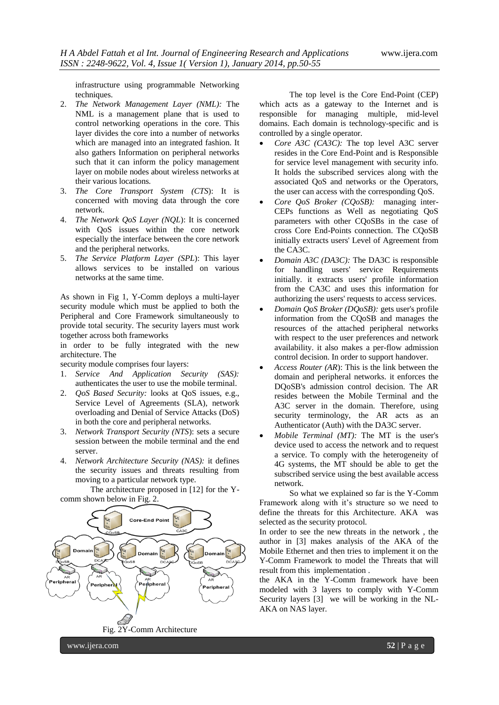infrastructure using programmable Networking techniques.

- 2. *The Network Management Layer (NML):* The NML is a management plane that is used to control networking operations in the core. This layer divides the core into a number of networks which are managed into an integrated fashion. It also gathers Information on peripheral networks such that it can inform the policy management layer on mobile nodes about wireless networks at their various locations.
- 3. *The Core Transport System (CTS*): It is concerned with moving data through the core network.
- 4. *The Network QoS Layer (NQL*): It is concerned with QoS issues within the core network especially the interface between the core network and the peripheral networks.
- 5. *The Service Platform Layer (SPL*): This layer allows services to be installed on various networks at the same time.

As shown in Fig 1, Y-Comm deploys a multi-layer security module which must be applied to both the Peripheral and Core Framework simultaneously to provide total security. The security layers must work together across both frameworks

in order to be fully integrated with the new architecture. The

security module comprises four layers:

- 1. *Service And Application Security (SAS):* authenticates the user to use the mobile terminal.
- 2. *QoS Based Security:* looks at QoS issues, e.g., Service Level of Agreements (SLA), network overloading and Denial of Service Attacks (DoS) in both the core and peripheral networks.
- 3. *Network Transport Security (NTS*): sets a secure session between the mobile terminal and the end server.
- 4. *Network Architecture Security (NAS):* it defines the security issues and threats resulting from moving to a particular network type.

The architecture proposed in [12] for the Ycomm shown below in Fig. 2.



The top level is the Core End-Point (CEP) which acts as a gateway to the Internet and is responsible for managing multiple, mid-level domains. Each domain is technology-specific and is controlled by a single operator.

- *Core A3C (CA3C):* The top level A3C server resides in the Core End-Point and is Responsible for service level management with security info. It holds the subscribed services along with the associated QoS and networks or the Operators, the user can access with the corresponding QoS.
- *Core QoS Broker (CQoSB):* managing inter-CEPs functions as Well as negotiating QoS parameters with other CQoSBs in the case of cross Core End-Points connection. The CQoSB initially extracts users' Level of Agreement from the CA3C.
- *Domain A3C (DA3C):* The DA3C is responsible for handling users' service Requirements initially. it extracts users' profile information from the CA3C and uses this information for authorizing the users' requests to access services.
- *Domain QoS Broker (DQoSB):* gets user's profile information from the CQoSB and manages the resources of the attached peripheral networks with respect to the user preferences and network availability. it also makes a per-flow admission control decision. In order to support handover.
- *Access Router (AR*): This is the link between the domain and peripheral networks. it enforces the DQoSB's admission control decision. The AR resides between the Mobile Terminal and the A3C server in the domain. Therefore, using security terminology, the AR acts as an Authenticator (Auth) with the DA3C server.
- *Mobile Terminal (MT):* The MT is the user's device used to access the network and to request a service. To comply with the heterogeneity of 4G systems, the MT should be able to get the subscribed service using the best available access network.

So what we explained so far is the Y-Comm Framework along with it's structure so we need to define the threats for this Architecture. AKA was selected as the security protocol.

In order to see the new threats in the network , the author in [3] makes analysis of the AKA of the Mobile Ethernet and then tries to implement it on the Y-Comm Framework to model the Threats that will result from this implementation .

the AKA in the Y-Comm framework have been modeled with 3 layers to comply with Y-Comm Security layers [3] we will be working in the NL-AKA on NAS layer.

www.ijera.com **52** | P a g e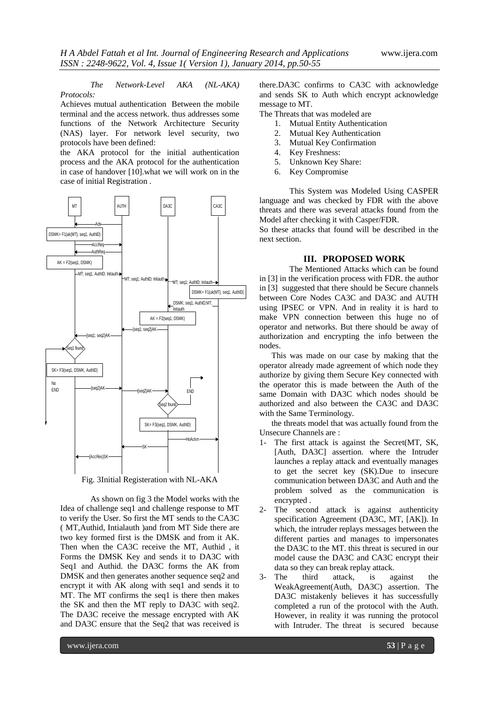*The Network-Level AKA (NL-AKA) Protocols:* 

Achieves mutual authentication Between the mobile terminal and the access network. thus addresses some functions of the Network Architecture Security (NAS) layer. For network level security, two protocols have been defined:

the AKA protocol for the initial authentication process and the AKA protocol for the authentication in case of handover [10].what we will work on in the case of initial Registration .



Fig. 3Initial Registeration with NL-AKA

As shown on fig 3 the Model works with the Idea of challenge seq1 and challenge response to MT to verify the User. So first the MT sends to the CA3C ( MT,Authid, Intialauth )and from MT Side there are two key formed first is the DMSK and from it AK. Then when the CA3C receive the MT, Authid , it Forms the DMSK Key and sends it to DA3C with Seq1 and Authid. the DA3C forms the AK from DMSK and then generates another sequence seq2 and encrypt it with AK along with seq1 and sends it to MT. The MT confirms the seq1 is there then makes the SK and then the MT reply to DA3C with seq2. The DA3C receive the message encrypted with AK and DA3C ensure that the Seq2 that was received is

there.DA3C confirms to CA3C with acknowledge and sends SK to Auth which encrypt acknowledge message to MT.

The Threats that was modeled are

- 1. Mutual Entity Authentication
- 2. Mutual Key Authentication
- 3. Mutual Key Confirmation
- 4. Key Freshness:
- 5. Unknown Key Share:
- 6. Key Compromise

This System was Modeled Using CASPER language and was checked by FDR with the above threats and there was several attacks found from the Model after checking it with Casper/FDR.

So these attacks that found will be described in the next section.

## **III. PROPOSED WORK**

The Mentioned Attacks which can be found in [3] in the verification process with FDR. the author in [3] suggested that there should be Secure channels between Core Nodes CA3C and DA3C and AUTH using IPSEC or VPN. And in reality it is hard to make VPN connection between this huge no of operator and networks. But there should be away of authorization and encrypting the info between the nodes.

This was made on our case by making that the operator already made agreement of which node they authorize by giving them Secure Key connected with the operator this is made between the Auth of the same Domain with DA3C which nodes should be authorized and also between the CA3C and DA3C with the Same Terminology.

the threats model that was actually found from the Unsecure Channels are :

- 1- The first attack is against the Secret(MT, SK, [Auth, DA3C] assertion. where the Intruder launches a replay attack and eventually manages to get the secret key (SK).Due to insecure communication between DA3C and Auth and the problem solved as the communication is encrypted .
- 2- The second attack is against authenticity specification Agreement (DA3C, MT, [AK]). In which, the intruder replays messages between the different parties and manages to impersonates the DA3C to the MT. this threat is secured in our model cause the DA3C and CA3C encrypt their data so they can break replay attack.
- 3- The third attack, is against the WeakAgreement(Auth, DA3C) assertion. The DA3C mistakenly believes it has successfully completed a run of the protocol with the Auth. However, in reality it was running the protocol with Intruder. The threat is secured because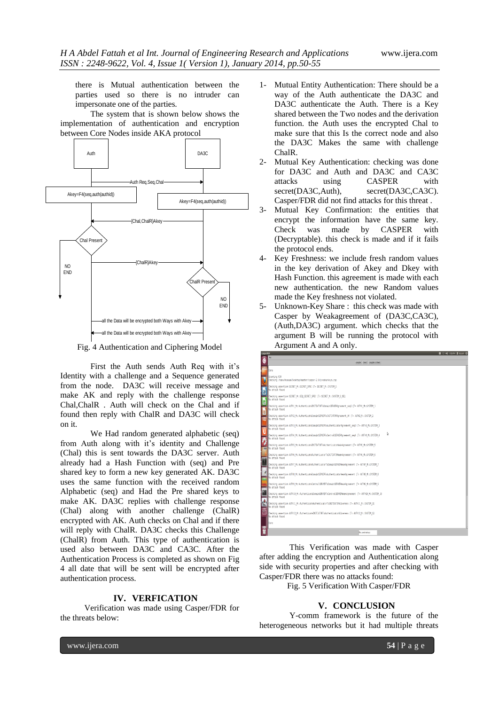there is Mutual authentication between the parties used so there is no intruder can impersonate one of the parties.

The system that is shown below shows the implementation of authentication and encryption between Core Nodes inside AKA protocol



Fig. 4 Authentication and Ciphering Model

First the Auth sends Auth Req with it's Identity with a challenge and a Sequence generated from the node. DA3C will receive message and make AK and reply with the challenge response Chal,ChalR . Auth will check on the Chal and if found then reply with ChalR and DA3C will check on it.

We Had random generated alphabetic (seq) from Auth along with it's identity and Challenge (Chal) this is sent towards the DA3C server. Auth already had a Hash Function with (seq) and Pre shared key to form a new key generated AK. DA3C uses the same function with the received random Alphabetic (seq) and Had the Pre shared keys to make AK. DA3C replies with challenge response (Chal) along with another challenge (ChalR) encrypted with AK. Auth checks on Chal and if there will reply with ChalR. DA3C checks this Challenge (ChalR) from Auth. This type of authentication is used also between DA3C and CA3C. After the Authentication Process is completed as shown on Fig 4 all date that will be sent will be encrypted after authentication process.

## **IV. VERFICATION**

Verification was made using Casper/FDR for the threats below:

- 1- Mutual Entity Authentication: There should be a way of the Auth authenticate the DA3C and DA3C authenticate the Auth. There is a Key shared between the Two nodes and the derivation function. the Auth uses the encrypted Chal to make sure that this Is the correct node and also the DA3C Makes the same with challenge ChalR.
- 2- Mutual Key Authentication: checking was done for DA3C and Auth and DA3C and CA3C attacks using CASPER with secret(DA3C,Auth), secret(DA3C,CA3C). Casper/FDR did not find attacks for this threat .
- 3- Mutual Key Confirmation: the entities that encrypt the information have the same key. Check was made by CASPER with (Decryptable). this check is made and if it fails the protocol ends.
- 4- Key Freshness: we include fresh random values in the key derivation of Akey and Dkey with Hash Function. this agreement is made with each new authentication. the new Random values made the Key freshness not violated.
- 5- Unknown-Key Share : this check was made with Casper by Weakagreement of (DA3C,CA3C), (Auth,DA3C) argument. which checks that the argument B will be running the protocol with Argument A and A only.

| <b>CasperFDR</b>                                                                                                                   | ■ ⊙ 4 935PH 1 hossen ☆ |
|------------------------------------------------------------------------------------------------------------------------------------|------------------------|
| File                                                                                                                               |                        |
| comple check comple & check                                                                                                        |                        |
| Dane                                                                                                                               |                        |
| Starting FIR<br>Checking /home/hossam/Desktop/master/casper-2.0/presharkeys.csp                                                    |                        |
| Checking assertion SECRET M::SECRET SPEC [T= SECRET M::SYSTEM S<br>No attack found<br>P                                            |                        |
| Checking assertion SECRET M::SEQ SECRET SPEC (T= SECRET M::SYSTEM S SEQ<br>No attack found                                         |                        |
| Checking assertion AUTH] M::AuthenticateINITIATORToDomainSERVERAgreement seg2 [T= AUTH] M::SYSTEM ]<br>No attack found             |                        |
| Checking assertion AUTH2 M::AuthenticateDomainSERVERToINITIATORAgreement AK [T= AUTH2 M::SYSTEM 2<br>No attack found               |                        |
| Checking assertion AUTH3 M::WuthenticateDomainSERVERToAuthenticatorAgreement seg3 [T≈ AUTH3 M::SYSTEM 3<br>No attack found         |                        |
| Þ<br>Checking assertion AUTH4 M::AuthenticateDomainSERVERToCentralSERVERAgreement seg4 (T= AUTH4 M::SYSTEM 4<br>No attack found    |                        |
| Checking assertion AUTH5 M::AuthenticateINITIATORToAuthenticatorWeakAgreement (T= AUTH5 M::SYSTEM 5<br><b>ea I</b> No attack found |                        |
| Checking assertion AUTH6_M::AuthenticateAuthenticatorToINITIATORWeakAgreement [T= AUTH6 M::SYSTEM 6<br>No attack found             |                        |
| Checking assertion AUTH7 M::AuthenticateAuthenticatorToDomainSERNERWeakAgreement IT= AUTH7 M::SYSTEM 7<br>No attack found          |                        |
| Checking assertion AUTHS M::AuthenticateDomainSERVERToAuthenticatorNeakAgreement [T= AUTHS M::SYSTEM 8<br>No attack found          |                        |
| Checking assertion AUTH9 M::AuthenticateCentralSERWERToDomainSERWERWeakAgreement [T= AUTH9 M::SYSTEM 9<br>No attack found          |                        |
| Checking assertion AUTH18 M::AuthenticateDomainSERWERToCentralSERWERWeakAgreement IT= AUTH18 M::SYSTEM 18<br>No attack found       |                        |
| Checking assertion AUTH]] M::AuthenticateAuthenticatorToINITIATORAliveness (T= AUTH]] M::SYSTEM ]]<br>No attack found              |                        |
| Checking assertion AUTH12 M::AuthenticateINITIATORToAuthenticatorAliveness (T= AUTH12 M::SYSTEM 12<br>No attack found              |                        |
| Done                                                                                                                               |                        |
| Ne. presharkeys                                                                                                                    |                        |

This Verification was made with Casper after adding the encryption and Authentication along side with security properties and after checking with Casper/FDR there was no attacks found:

Fig. 5 Verification With Casper/FDR

#### **V. CONCLUSION**

Y-comm framework is the future of the heterogeneous networks but it had multiple threats

www.ijera.com **54** | P a g e